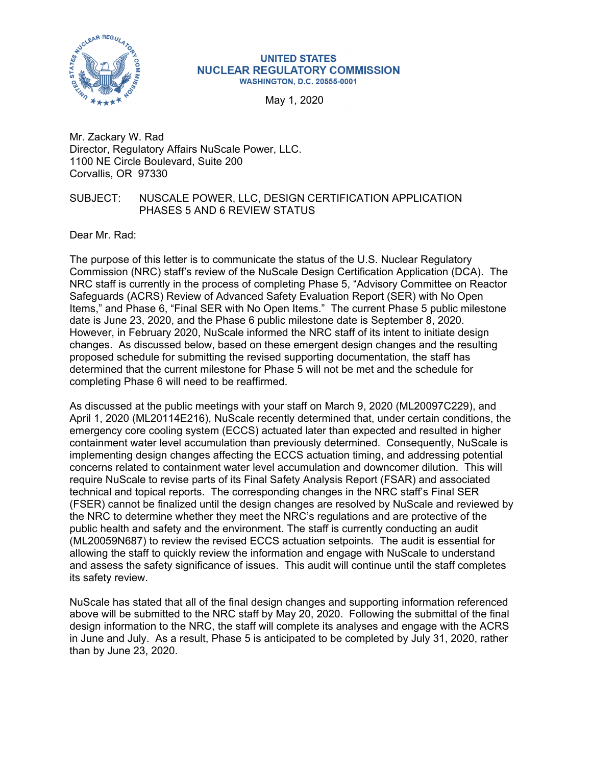

## **UNITED STATES NUCLEAR REGULATORY COMMISSION WASHINGTON, D.C. 20555-0001**

May 1, 2020

Mr. Zackary W. Rad Director, Regulatory Affairs NuScale Power, LLC. 1100 NE Circle Boulevard, Suite 200 Corvallis, OR 97330

## SUBJECT: NUSCALE POWER, LLC, DESIGN CERTIFICATION APPLICATION PHASES 5 AND 6 REVIEW STATUS

Dear Mr. Rad:

The purpose of this letter is to communicate the status of the U.S. Nuclear Regulatory Commission (NRC) staff's review of the NuScale Design Certification Application (DCA). The NRC staff is currently in the process of completing Phase 5, "Advisory Committee on Reactor Safeguards (ACRS) Review of Advanced Safety Evaluation Report (SER) with No Open Items," and Phase 6, "Final SER with No Open Items." The current Phase 5 public milestone date is June 23, 2020, and the Phase 6 public milestone date is September 8, 2020. However, in February 2020, NuScale informed the NRC staff of its intent to initiate design changes. As discussed below, based on these emergent design changes and the resulting proposed schedule for submitting the revised supporting documentation, the staff has determined that the current milestone for Phase 5 will not be met and the schedule for completing Phase 6 will need to be reaffirmed.

As discussed at the public meetings with your staff on March 9, 2020 (ML20097C229), and April 1, 2020 (ML20114E216), NuScale recently determined that, under certain conditions, the emergency core cooling system (ECCS) actuated later than expected and resulted in higher containment water level accumulation than previously determined. Consequently, NuScale is implementing design changes affecting the ECCS actuation timing, and addressing potential concerns related to containment water level accumulation and downcomer dilution. This will require NuScale to revise parts of its Final Safety Analysis Report (FSAR) and associated technical and topical reports. The corresponding changes in the NRC staff's Final SER (FSER) cannot be finalized until the design changes are resolved by NuScale and reviewed by the NRC to determine whether they meet the NRC's regulations and are protective of the public health and safety and the environment. The staff is currently conducting an audit (ML20059N687) to review the revised ECCS actuation setpoints. The audit is essential for allowing the staff to quickly review the information and engage with NuScale to understand and assess the safety significance of issues. This audit will continue until the staff completes its safety review.

NuScale has stated that all of the final design changes and supporting information referenced above will be submitted to the NRC staff by May 20, 2020. Following the submittal of the final design information to the NRC, the staff will complete its analyses and engage with the ACRS in June and July. As a result, Phase 5 is anticipated to be completed by July 31, 2020, rather than by June 23, 2020.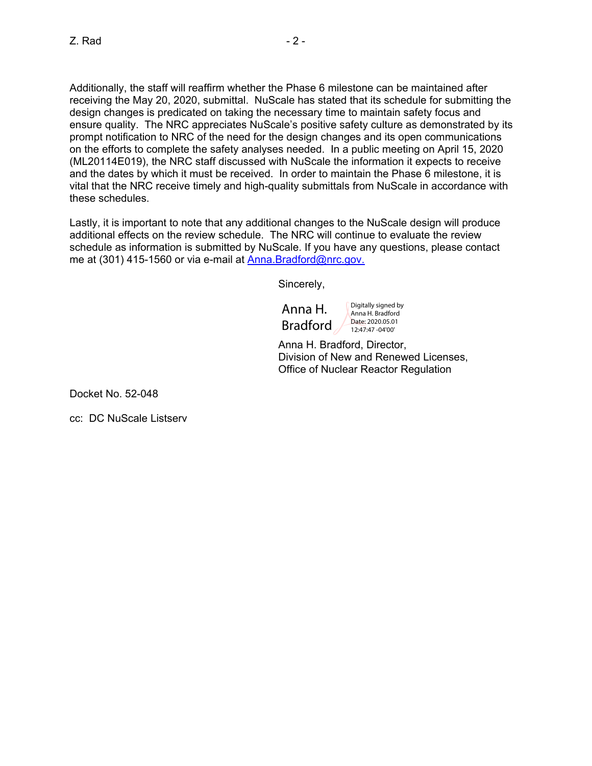Additionally, the staff will reaffirm whether the Phase 6 milestone can be maintained after receiving the May 20, 2020, submittal. NuScale has stated that its schedule for submitting the design changes is predicated on taking the necessary time to maintain safety focus and ensure quality. The NRC appreciates NuScale's positive safety culture as demonstrated by its prompt notification to NRC of the need for the design changes and its open communications on the efforts to complete the safety analyses needed. In a public meeting on April 15, 2020 (ML20114E019), the NRC staff discussed with NuScale the information it expects to receive and the dates by which it must be received. In order to maintain the Phase 6 milestone, it is vital that the NRC receive timely and high-quality submittals from NuScale in accordance with these schedules.

Lastly, it is important to note that any additional changes to the NuScale design will produce additional effects on the review schedule. The NRC will continue to evaluate the review schedule as information is submitted by NuScale. If you have any questions, please contact me at (301) 415-1560 or via e-mail at Anna.Bradford@nrc.gov.

Sincerely,

Anna H. Bradford

Digitally signed by Anna H. Bradford Date: 2020.05.01 12:47:47 -04'00'

Anna H. Bradford, Director, Division of New and Renewed Licenses, Office of Nuclear Reactor Regulation

Docket No. 52-048

cc: DC NuScale Listserv